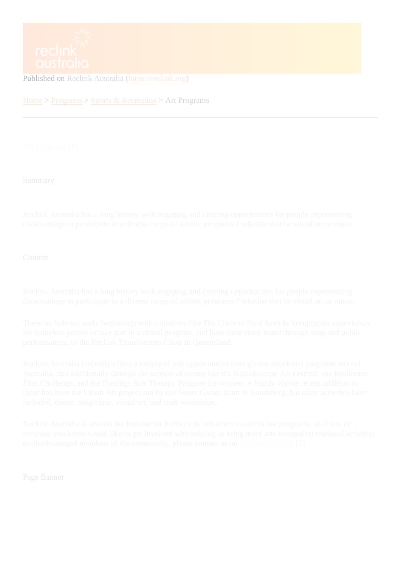Published on Reclink Australia (https://reclink.org)

Home > Programs Sports & Recreation Art Programs

Art Programs<sup>1</sup>]

**[Summary](https://reclink.org/programs/art-programs)** 

Reclink Australia has a long history with engaging and creating opportunities for people experiencing disadvantage to participate in a diverse range of artistic programs ? whether that be visual art or music.

**Content** 

Reclink Australia has a long history with engaging and creating opportunities for people experiencing disadvantage to participate in a diverse range of artistic programs ? whether that be visual art or music.

These include our early beginnings with initiatives like The Choir of Hard Knocks bringing the opportunity for homeless people to take part in a choral program, and have their voice heard through song and public performances, to the Reclink Transformers Choir in Queensland.

Reclink Australia currently offers a variety of arts opportunities through our structured programs around Australia, and additionally through the support of events like the Kaleidoscope Art Festival, the Resilience Film Challenge, and the Hastings Arts Therapy Program for women. A highly visible recent addition to these has been the Urban Art project run by our Street Games team in Bundaberg, but other activities have included, dance, song/choir, visual art, and craft workshops.

Reclink Australia is also on the lookout for further arts initiatives to add to our programs, so if you or someone you know would like to get involved with helping us bring more arts-focused recreational activities to disadvantaged members of the community, please contactions @reclink.org[2]

Page Banner